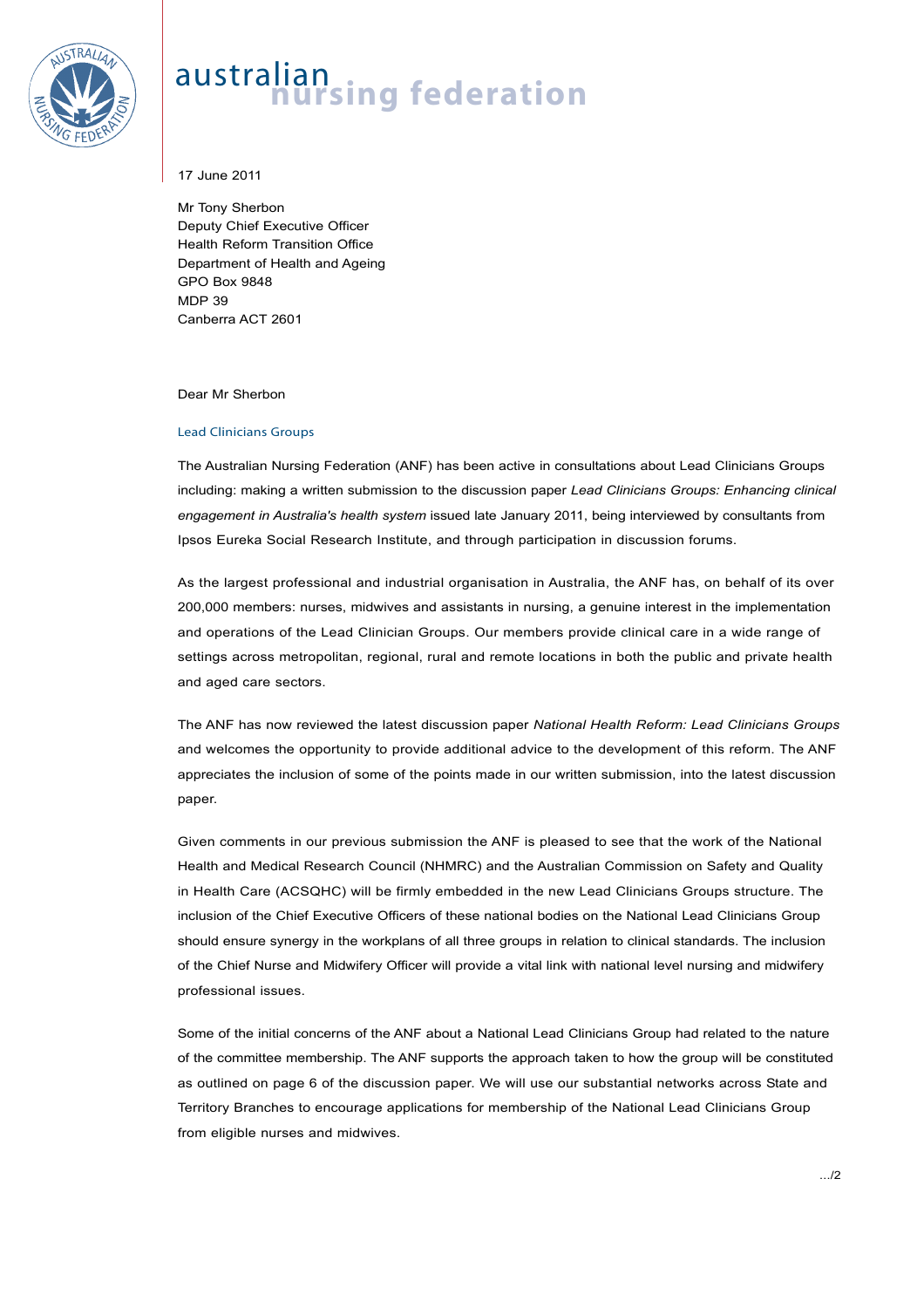

## australian<br>**nursing federation**

17 June 2011

Mr Tony Sherbon Deputy Chief Executive Officer Health Reform Transition Office Department of Health and Ageing GPO Box 9848 MDP 39 Canberra ACT 2601

Dear Mr Sherbon

## Lead Clinicians Groups

The Australian Nursing Federation (ANF) has been active in consultations about Lead Clinicians Groups including: making a written submission to the discussion paper *Lead Clinicians Groups: Enhancing clinical engagement in Australia's health system* issued late January 2011, being interviewed by consultants from Ipsos Eureka Social Research Institute, and through participation in discussion forums.

As the largest professional and industrial organisation in Australia, the ANF has, on behalf of its over 200,000 members: nurses, midwives and assistants in nursing, a genuine interest in the implementation and operations of the Lead Clinician Groups. Our members provide clinical care in a wide range of settings across metropolitan, regional, rural and remote locations in both the public and private health and aged care sectors.

The ANF has now reviewed the latest discussion paper *National Health Reform: Lead Clinicians Groups* and welcomes the opportunity to provide additional advice to the development of this reform. The ANF appreciates the inclusion of some of the points made in our written submission, into the latest discussion paper.

Given comments in our previous submission the ANF is pleased to see that the work of the National Health and Medical Research Council (NHMRC) and the Australian Commission on Safety and Quality in Health Care (ACSQHC) will be firmly embedded in the new Lead Clinicians Groups structure. The inclusion of the Chief Executive Officers of these national bodies on the National Lead Clinicians Group should ensure synergy in the workplans of all three groups in relation to clinical standards. The inclusion of the Chief Nurse and Midwifery Officer will provide a vital link with national level nursing and midwifery professional issues.

Some of the initial concerns of the ANF about a National Lead Clinicians Group had related to the nature of the committee membership. The ANF supports the approach taken to how the group will be constituted as outlined on page 6 of the discussion paper. We will use our substantial networks across State and Territory Branches to encourage applications for membership of the National Lead Clinicians Group from eligible nurses and midwives.